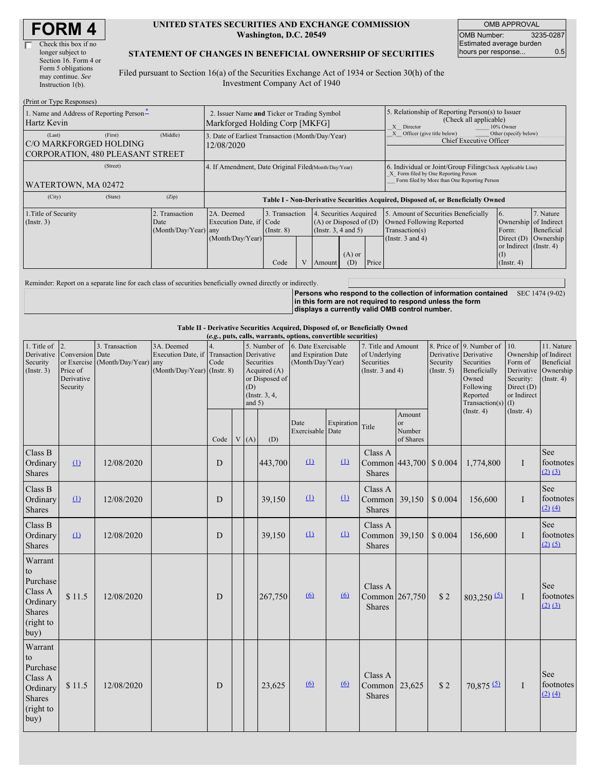| Check this box if no  |
|-----------------------|
| longer subject to     |
| Section 16. Form 4 or |
| Form 5 obligations    |
| may continue. See     |
| Instruction 1(b).     |
|                       |

 $(D_{\text{rint}} \text{ or } T_{\text{V}} \text{no } D$ 

#### **UNITED STATES SECURITIES AND EXCHANGE COMMISSION Washington, D.C. 20549**

OMB APPROVAL OMB Number: 3235-0287 Estimated average burden hours per response... 0.5

### **STATEMENT OF CHANGES IN BENEFICIAL OWNERSHIP OF SECURITIES**

Filed pursuant to Section 16(a) of the Securities Exchange Act of 1934 or Section 30(h) of the Investment Company Act of 1940

| $(1 \text{ min of 1 ypc Rcsponses})$<br>1. Name and Address of Reporting Person-<br>Hartz Kevin | 2. Issuer Name and Ticker or Trading Symbol<br>Markforged Holding Corp [MKFG] |                                                      |                                                                |                                           |  | 5. Relationship of Reporting Person(s) to Issuer<br>(Check all applicable)<br>X Director<br>10% Owner |                                                                                                                                                    |       |                                                                                                             |                                                                                                            |                                      |  |  |
|-------------------------------------------------------------------------------------------------|-------------------------------------------------------------------------------|------------------------------------------------------|----------------------------------------------------------------|-------------------------------------------|--|-------------------------------------------------------------------------------------------------------|----------------------------------------------------------------------------------------------------------------------------------------------------|-------|-------------------------------------------------------------------------------------------------------------|------------------------------------------------------------------------------------------------------------|--------------------------------------|--|--|
| (Last)<br><b>C/O MARKFORGED HOLDING</b><br>CORPORATION, 480 PLEASANT STREET                     | (First)                                                                       | (Middle)                                             | 3. Date of Earliest Transaction (Month/Day/Year)<br>12/08/2020 |                                           |  |                                                                                                       |                                                                                                                                                    |       | Other (specify below)<br>X Officer (give title below)<br>Chief Executive Officer                            |                                                                                                            |                                      |  |  |
| WATERTOWN, MA 02472                                                                             |                                                                               | 4. If Amendment, Date Original Filed Month/Day/Year) |                                                                |                                           |  |                                                                                                       | 6. Individual or Joint/Group Filing Check Applicable Line)<br>X Form filed by One Reporting Person<br>Form filed by More than One Reporting Person |       |                                                                                                             |                                                                                                            |                                      |  |  |
| (City)                                                                                          | (State)                                                                       | (Zip)                                                |                                                                |                                           |  |                                                                                                       |                                                                                                                                                    |       | Table I - Non-Derivative Securities Acquired, Disposed of, or Beneficially Owned                            |                                                                                                            |                                      |  |  |
| 1. Title of Security<br>(Insert. 3)                                                             |                                                                               | 2. Transaction<br>Date<br>$(Month/Day/Year)$ any     | 2A. Deemed<br>Execution Date, if Code<br>(Month/Day/Year)      | 3. Transaction<br>$($ Instr. $8)$<br>Code |  | 4. Securities Acquired<br>Amount                                                                      | $(A)$ or Disposed of $(D)$<br>(Instr. 3, 4 and 5)<br>$(A)$ or<br>(D)                                                                               | Price | 5. Amount of Securities Beneficially<br>Owned Following Reported<br>Transaction(s)<br>(Instr. $3$ and $4$ ) | 16.<br>Ownership of Indirect<br>Form:<br>Direct $(D)$<br>or Indirect (Instr. 4)<br>(I)<br>$($ Instr. 4 $)$ | 7. Nature<br>Beneficial<br>Ownership |  |  |

Reminder: Report on a separate line for each class of securities beneficially owned directly or indirectly.

**Persons who respond to the collection of information contained in this form are not required to respond unless the form displays a currently valid OMB control number.** SEC 1474 (9-02)

#### **Table II - Derivative Securities Acquired, Disposed of, or Beneficially Owned**

| (e.g., puts, calls, warrants, options, convertible securities)                         |                                                                  |                                                |                                                                                                 |                          |   |                 |                                                                                 |                                                                |              |                                                                             |                                                |                                       |                                                                                                                          |                                                                                                        |                                                      |
|----------------------------------------------------------------------------------------|------------------------------------------------------------------|------------------------------------------------|-------------------------------------------------------------------------------------------------|--------------------------|---|-----------------|---------------------------------------------------------------------------------|----------------------------------------------------------------|--------------|-----------------------------------------------------------------------------|------------------------------------------------|---------------------------------------|--------------------------------------------------------------------------------------------------------------------------|--------------------------------------------------------------------------------------------------------|------------------------------------------------------|
| 1. Title of $\vert$ 2.<br>Security<br>(Insert. 3)                                      | Derivative Conversion Date<br>Price of<br>Derivative<br>Security | 3. Transaction<br>or Exercise (Month/Day/Year) | 3A. Deemed<br>Execution Date, if Transaction Derivative<br>any<br>$(Month/Day/Year)$ (Instr. 8) | $\overline{4}$ .<br>Code |   | (D)<br>and $5)$ | 5. Number of<br>Securities<br>Acquired $(A)$<br>or Disposed of<br>(Instr. 3, 4, | 6. Date Exercisable<br>and Expiration Date<br>(Month/Day/Year) |              | 7. Title and Amount<br>of Underlying<br>Securities<br>(Instr. $3$ and $4$ ) |                                                | Derivative<br>Security<br>(Insert. 5) | 8. Price of 9. Number of<br>Derivative<br>Securities<br>Beneficially<br>Owned<br>Following<br>Reported<br>Transaction(s) | 10.<br>Ownership of Indirect<br>Form of<br>Derivative<br>Security:<br>Direct (D)<br>or Indirect<br>(1) | 11. Nature<br>Beneficial<br>Ownership<br>(Insert, 4) |
|                                                                                        |                                                                  |                                                |                                                                                                 | Code                     | V | (A)             | (D)                                                                             | Date<br>Exercisable Date                                       | Expiration   | Title                                                                       | Amount<br><sub>or</sub><br>Number<br>of Shares |                                       | $($ Instr. 4 $)$                                                                                                         | (Insert. 4)                                                                                            |                                                      |
| Class B<br>Ordinary<br><b>Shares</b>                                                   | $\mathbf{\Omega}$                                                | 12/08/2020                                     |                                                                                                 | D                        |   |                 | 443,700                                                                         | $\mathbf{u}$                                                   | $\Omega$     | Class A<br>Common 443,700 \$ 0.004<br><b>Shares</b>                         |                                                |                                       | 1,774,800                                                                                                                | I                                                                                                      | See<br>footnotes<br>$(2)$ $(3)$                      |
| Class B<br>Ordinary<br><b>Shares</b>                                                   | $\mathbf{\Omega}$                                                | 12/08/2020                                     |                                                                                                 | D                        |   |                 | 39,150                                                                          | $\Omega$                                                       | $\mathbf{u}$ | Class A<br>Common<br>Shares                                                 | 39,150                                         | \$0.004                               | 156,600                                                                                                                  | I                                                                                                      | See<br>footnotes<br>(2) (4)                          |
| Class B<br>Ordinary<br><b>Shares</b>                                                   | $\Omega$                                                         | 12/08/2020                                     |                                                                                                 | D                        |   |                 | 39,150                                                                          | $\mathbf{\underline{u}}$                                       | $\Omega$     | Class A<br>Common<br><b>Shares</b>                                          | 39,150                                         | \$0.004                               | 156,600                                                                                                                  | I                                                                                                      | See<br>footnotes<br>(2) (5)                          |
| Warrant<br>to<br>Purchase<br>Class A<br>Ordinary<br><b>Shares</b><br>(right to<br>buy) | \$11.5                                                           | 12/08/2020                                     |                                                                                                 | D                        |   |                 | 267,750                                                                         | 6                                                              | $6\Omega$    | Class A<br>Common 267,750<br><b>Shares</b>                                  |                                                | \$2                                   | $803,250$ <sup>(5)</sup>                                                                                                 | I                                                                                                      | See<br>footnotes<br>$(2)$ $(3)$                      |
| Warrant<br>to<br>Purchase<br>Class A<br>Ordinary<br><b>Shares</b><br>(right to<br>buy) | \$11.5                                                           | 12/08/2020                                     |                                                                                                 | D                        |   |                 | 23,625                                                                          | (6)                                                            | $\omega$     | Class A<br>Common<br><b>Shares</b>                                          | 23,625                                         | \$2                                   | 70,875 (5)                                                                                                               | I                                                                                                      | See<br>footnotes<br>(2) (4)                          |